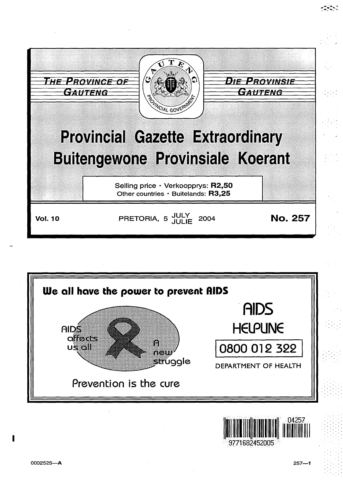



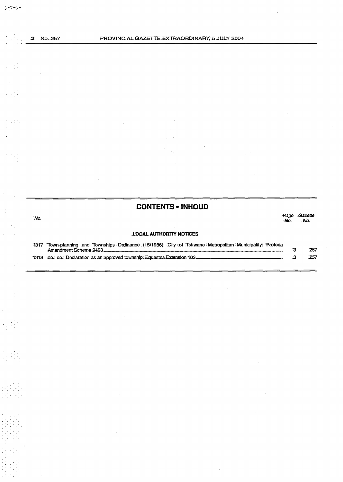$\frac{1}{2} \sum_{i=1}^{n} \frac{1}{2} \sum_{j=1}^{n} \frac{1}{2} \sum_{j=1}^{n} \frac{1}{2} \sum_{j=1}^{n} \frac{1}{2} \sum_{j=1}^{n} \frac{1}{2} \sum_{j=1}^{n} \frac{1}{2} \sum_{j=1}^{n} \frac{1}{2} \sum_{j=1}^{n} \frac{1}{2} \sum_{j=1}^{n} \frac{1}{2} \sum_{j=1}^{n} \frac{1}{2} \sum_{j=1}^{n} \frac{1}{2} \sum_{j=1}^{n} \frac{1}{2} \sum_{j=1}^{n$ 

Ry.

a ag

 $\frac{1}{2}+\frac{1}{2}\frac{1}{2}\frac{1}{2}$ 

 $\begin{bmatrix} 1 & 1 \\ 1 & 1 \end{bmatrix}$ 

 $\begin{pmatrix} 1 \\ 1 \\ 1 \end{pmatrix}$ 

 $\sim$   $\sim$ 

 $\frac{1}{2}$  ,  $\frac{1}{2}$  ,  $\frac{1}{2}$ 

 $\sim$   $\sim$ 

 $\sim$ 

 $\ddot{\phantom{0}}$ 

 $\overline{\phantom{a}}$ 

 $\bar{z}$ 

 $\mathcal{L}_{\mathcal{A}}$ 

|      | <b>CONTENTS - INHOUD</b>                                                                                  |             |                |
|------|-----------------------------------------------------------------------------------------------------------|-------------|----------------|
| 'No. |                                                                                                           | Page<br>Mo. | Gazette<br>No. |
|      | <b>LOCAL AUTHORITY NOTICES</b>                                                                            |             |                |
|      | 1317 Town-planning and Townships Drdinance (15/1986): City of Tshwane Metropolitan Municipality: Pretoria | З           | .257           |
|      |                                                                                                           |             | 257            |

J.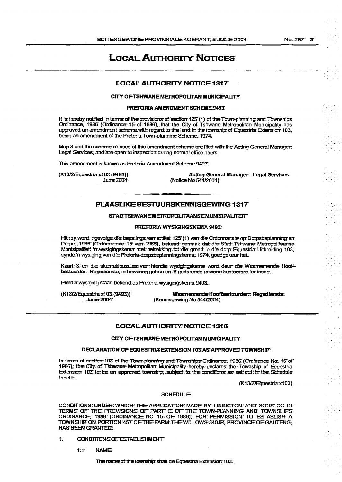# **LOCAL AUTHORITY NOTICES:**

# LOCAL AUTHORITY NOTICE 1317

#### CITY OF TSHWANE METROPOLITAN MUNICIPALITY.

### PRETORIA AMENDMENT SCHEME 9493

It is hereby notified in terms of the provisions of section 125 (1) of the Town-planning and Townships<br>Ordinance, 1986: (Ordinance: 15 of 1986), that the City of Tshwane: Metropolitan Municipality has approved an amendment scheme with regard to the land in the township of Equestria Extension 103, being an amendment of the Pretoria Town-planning Scheme, 1974.

Map 3 and the scheme clauses of this amendment scheme are filed with the Acting General Manager: Legal Services, and are open to inspection during normal office hours.

This amendment is known as Pretoria Amendment Scheme 9493.

(K13/2/Equestria x103 (9493)) June 2004:

**Acting General Manager: Legal Services:** (Notice Na 544/2004)

# PLAASLIKE BESTUURSKENNISGEWING 1317

# STAD TSHWANE METROPOLITAAN SEMUNISIPALITEIT

#### PRETORIA WYSIGINGSKEMA 9493:

Hierby word ingevolge die bepalings van artikel 125 (1) van die Ordonnansie op Dorpsbeplanning en Dorpe, 1986 (Ordonnansie: 15 van 1986), bekend gemaak dat die Stad Tshwane Metropolitaanse Munisipaliteit. 'n wysigingskema met betrekking tot die grond in die dorp Equestria Uitbreiding 103. synde 'n wysiging van die Pretoria-dorpsbeplanningskema, 1974, goedgekeur het.

Käart: 3 em die skemaklousules van hierdie wysigingskema word deur die Waarnemende Hoofbestaurder: Regsdienste, in bewaring gehou en le gedurende gewone kantoorure ter insae.

Hierdie wysiging staan bekend as Pretoria-wysigingskema 9493.

(K13/2/Equestria x103 (9493)) Junie 2004

Waarnemende Hoofbestuurder: Regsdienste (Kennisgewing Na 544/2004)

### LOCAL AUTHORITY NOTICE 1318

### CITY OF TSHWANE METROPOLITAN MUNICIPALITY.

#### **DECLARATION OF EQUESTRIA EXTENSION 103 AS APPROVED TOWNSHIP**

In terms of section 103 of the Town-planning and Townships Ordinance, 1986 (Ordinance No. 15 of 1986), the City of Tshwane Metropolitan Municipality hereby declares the Township of Equestria Extension 103. to be am approved township, subject to the conditions as set out in the Schedule hereta:

 $(K13/2)$ Equestria x103)

#### **SCHEDULE**

CONDITIONS UNDER WHICH THE APPLICATION MADE BY LININGTON AND SONS CC IN TERMS: OF THE PROVISIONS: OF PARTIC OF THE TOWN-PLANNING: AND TOWNSHIPS: ORDINANCE, 1986: (ORDINANCE NO: 15: OF 1986); FOR: PERMISSION: TO: ESTABLISH A TOWNSHIP ON PORTION 457 OF THE FARM THE WILLOWS 340UR, PROVINCE OF GAUTENG. **HAS BEEN GRANTED.** 

- CONDITIONS OF ESTABLISHMENT  $11.$ 
	- **NAME**  $1111$

The name of the township shall be Equestria Extension 103.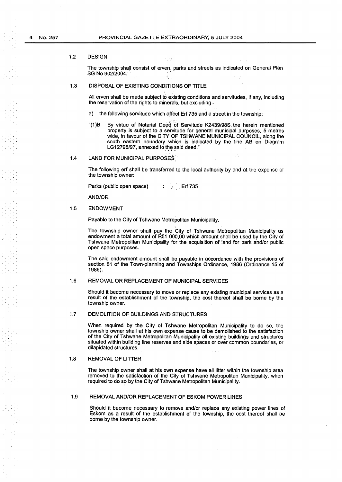#### 1.2 DESIGN

The township shall consist of erven, parks and streets as indicated on General Plan SG No 902/2004. ' . . .

# 1.3 DISPOSAL OF EXISTING CONDITIONS OF TITLE

All erven shall be made subject to existing conditions and servitudes, if any, including the reservation of the rights to minerals, but excluding -

- a) the following servitude which affect Erf 735 and a street in the township;
- "(1)B By virtue of Notarial Deed of Servitude K2439/98S the herein mentioned property is subject to a servitude for general municipal purposes, 5 metres wide, in favour of the CITY OF TSHWANE MUNICIPAL COUNCIL, along the south eastern boundary which is indicated by the line AB on Diagram LG12798/97, annexed to the said deed." ' \_ .. j -

#### 1.4 LAND FOR MUNICIPAL PURPOSES

The following erf shall be transferred to the local authority by and at the expense of the township owner:

Parks (public open space) Erf 735  $\mathcal{A} \subset \mathcal{A}$ 

AND/OR

#### 1.5 ENDOWMENT

Payable to the City of Tshwane Metropolitan Municipality.

The township owner shall pay the City of Tshwane Metropolitan Municipality as endowment a total amount of R51 000,00 which amount shall be used by the City of Tshwane Metropolitan Municipality for the acquisition of land for park and/or public open space purposes.

The said endowment amount shall be payable in accordance with the provisions of section 81 of the Town-planning and Townships Ordinance, 1986 (Ordinance 15 of 1986).

### 1.6 REMOVAL OR REPLACEMENT OF MUNICIPAL SERVICES

Should it become necessary to move or replace any existing municipal services as a result of the establishment of the township, the cost thereof shall be borne by the township owner.

#### 1.7 DEMOLITION OF BUILDINGS AND STRUCTURES

When required by the City of Tshwane Metropolitan Municipality to do so, the township owner shall at his own expense cause to be demolished to the satisfaction of the City of Tshwane Metropolitan Municipality all existing buildings and structures situated within building line reserves and side spaces or over common boundaries, or dilapidated structures.

### 1.8 REMOVAL OF LITTER

The township owner shall at his own expense have all litter within the township area removed to the satisfaction of the City of Tshwane Metropolitan Municipality, when required to do so by the City of Tshwane Metropolitan Municipality.

#### 1.9 REMOVAL AND/OR REPLACEMENT OF ESKOM POWER LINES

Should it become necessary to remove and/or replace any existing power lines of Eskom as a result of the establishment of the township, the cost thereof shall be borne by the township owner.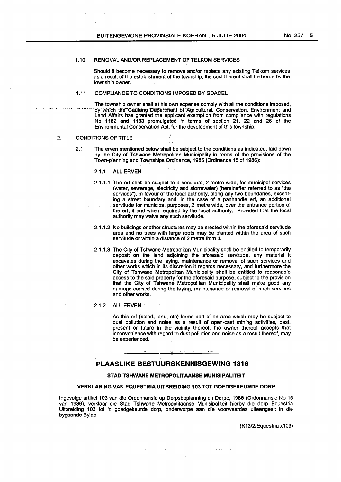### 1.10 REMOVAL AND/OR REPLACEMENT OF TELKOM SERVICES

Should it become necessary to remove and/or replace any existing Telkom services as a result of the establishment of the township, the cost thereof shall be borne by the township owner.

# 1.11 COMPLIANCE TO CONDITIONS IMPOSED BY GDACEL

The township owner shall at his own expense comply with all the conditions imposed, by which the Gauteng Department of Agricultural, Conservation, Environment and Land Affairs has granted the applicant exemption from compliance with regulations No 1182 and 1183 promulgated in terms of section 21, 22 and 26 of the Environmental Conservation Act, for the development of this township.

### 2. CONDITIONS OF TITLE

- 2.1 The erven mentioned below shall be subject to the conditions as indicated, laid down by the City of Tshwane Metropolitan Municipality in terms of the provisions of the Town-planning and Townships Ordinance, 1986 (Ordinance 15 of 1986}:
	- 2.1.1 ALL ERVEN
	- 2.1.1.1 The erf shall be subject to a servitude, 2 metre wide, for municipal services (water, sewerage, electricity and stormwater} (hereinafter referred to as "the services"), in favour of the local authority, along any two boundaries, excepting a street boundary and, in the case of a panhandle erf, an additional servitude for municipal purposes, 2 metre wide, over the entrance portion of the erf, if and when required by the local authority: Provided that the local authority may waive any such servitude.
	- 2.1.1.2 No buildings or other structures may be erected within the aforesaid servitude area and no trees with large roots may be planted within the area of such servitude or within a distance of 2 metre from it.
	- 2.1.1.3 The City of Tshwane Metropolitan Municipality shall be entitled to temporarily deposit on the land adjoining the aforesaid servitude, any material it excavates during the laying, maintenance or removal of such services and other works which in its discretion it regards necessary, and furthermore the City of Tshwane Metropolitan Municipality shall be entitled to reasonable access to the said property for the aforesaid purpose, subject to the provision that the City of Tshwane Metropolitan Municipality shall make good any damage caused during the laying, maintenance or removal of such services and other works.
	- 2.1.2 ALL ERVEN **Product and Server All ERVEN**

As this erf (stand, land, etc} forms part of an area which may be subject to dust pollution and noise as a result of open-cast mining activities, past, present or future in the vicinity thereof, the owner thereof accepts that inconvenience with regard to dust pollution and noise as a result thereof, may be experienced.

# **PLAASLIKE BESTUURSKENNISGEWING 1318**

#### STAD TSHWANE METROPOLITAANSE MUNISIPALITEIT

### VERKLARING VAN EQUESTRIA UITBREIDING 103 TOT GOEDGEKEURDE DORP

lngevolge artikel 103 van die Ordonnansie op Dorpsbeplanning en Dorpe, 1986 (Ordonnansie No 15 van 1986}, verklaar die Stad Tshwane Metropolitaanse Munisipaliteit hierby die dorp Equestria Uitbreiding 103 tot 'n goedgekeurde dorp, onderworpe aan die voorwaardes uiteengesit in die bygaande Bylae.

(K13/2/Equestria x103)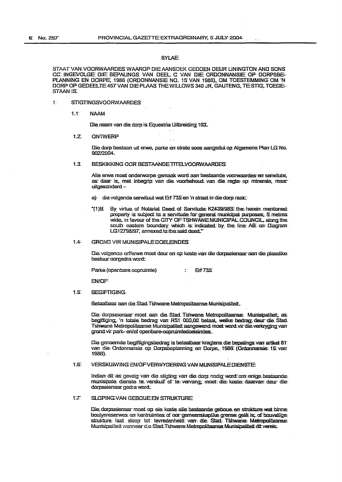# **BYLAE**

STAAT VAN VOORWAARDES WAAROP DIE AANSOEK GEDOEN DEUR LININGTON AND SONS CC INGEVOLGE DIE BEPALINGS VAN DEEL C VAN DIE ORDONNANSIE OF DORPSBE-PLANNING EN DORPE, 1986 (ORDONNANSIE NO. 15 VAN 1986), OM TOESTEMMING OM 'N DORP OF GEDEELTE 457 VAN DIE PLAAS THE WILLOWS 340 JR, GAUTENG, TE STIG, TOEGE-STAAN IS.

#### $\ddagger$ STIGTINGSVOORWAARDES

**NAAM**  $1:1$ 

Die naam van die dorn is Equestria Uitbreiding 103.

#### $17$ **ONTWERP**

Die dorp bestaan uit erwe, parke en strate soos aangedui op Algemene Plan LG No.  $902/2004.$ 

#### $1.3.$ BESKIKKING OOR BESTAANDE TITELVOORWAARDES

Alle erwe moet onderworpe gemaak word aan bestaande voorwaardes en serwitute. as daar is, met inbegrip van die voorbehoud van die regte op minerale, maar uitgesanderd-

- a) die volgende serwituut wat Erf 735 en 'n straat in die dorp raak:
- "(1)E By virtue of Notarial Deed of Servitude K2439/985 the herein mentioned property is subject to a servitude for general municipal purposes. 5 metres wide, in favour of the CITY OF TSHWANE MUNICIPAL COUNCIL, along the south eastern boundary which is indicated by the line AB on Diagram. LG12798/97, annexed to the said deed."

#### $1.42$ **GROND VIR MUNISIPALE DOELEINDES:**

Die volgende erf/erwe moet deur en op koste van die dorpseienaar aan die plaaslike bestuur oorgedra word:

Parke (openbare oopruimte) Erf 735  $\sim 10^{-1}$ 

**EN/OF** 

#### $t.E$ **BEGIFTIGING**

Betaalbaar aan die Stad Tshwane Metropolitaanse Munisipaliteit.

Die dorpseienaar moet aan die Stad Tshwane Metropolitaanse. Munisipaliteit, as begiftiging, 'n totale bedrag van R51 000,00 betaal, welke bedrag deur die Stad. Tshwane Metropolitaanse Munisipaliteit aangewend moet word vir die verkryging van arond vir park- en/of openbare-copruimtedoeleindes

Die genoemde begiftigingsbedrag is betaalbaar kragtens die bepalings van artikel 811 van die Ordonnansie op Dorpsbeplanning en Dorpe, 1986 (Ordonnansie 15 van 1986).

#### $1.66$ VERSKUIWING EN/OF VERWYDERING VAN MUNISIPALE DIENSTE

Indiem dit as: gevolg: van die stigting van die dorp nodig word om enige bestaande: munisipale: dienste. te verskuif of te vervang, moet die koste daarvan deur die dorpseienaar nedra word.

#### SLOPING VAN GEBOUE EN STRUKTURE  $T$

Die dorpseienaar moet op eie koste alle bestaande geboue en strukture wat binne. boulynreserwes en kantruimtes of oor gemeenskaplike grense gelê is, of bouvallige strukture laat sloop tot tevredenheid van die Stad Tshwane Metropolitaanse Munisipaliteit wanneer die Stad Tshwane Metropolitaanse Munisipaliteit dit vereis.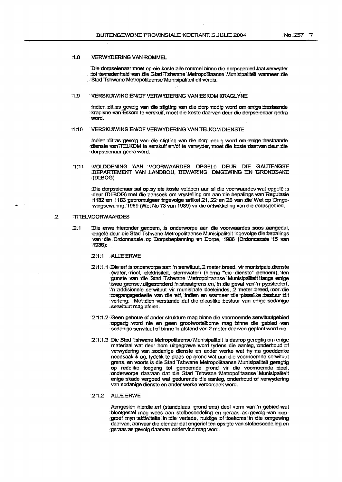### :1.8 VERWYDERING VAN ROMMEL

Die dorpseienaar moet op eie koste alle rommel binne die dorpsgebied laat verwyder : tot tevredenheid van .die Stad Tshwane Metropolitaanse Munisipaliteit wanneer die :Stad Tshwane' Metropolitaanse' Munisipaliteit dit vereis.

# 11.9 VERSKUIWING EN/OF VERWYDERING VAN ESKOM KRAGLYNE

tindien dit as gevolg van die stigting van die dorp nodig word om enige bestaande kraglyne van Eskom te verskuif, moet die koste daarvan deur die dorpseienaar gedra word.

# :1:10 VERSKUIWING EN/OF VERWYDERING VAN TELKOM DIENSTE

Indien :dit as gevolg van die sligting van die dorp nodig word om enige bestaande cdienste van TELKOM te verskuif en/of te verwyder, moet die koste daarvan deur die dorpseienaar gedra word.

'1 :11 WOIDOENJNG AAN 'VOORWAARDES DPGELe DEUR DIE 'GAUlENGSE DEPARTEMENT VAN LANDBOU, BEWARING, OMGEWING EN GRONDSAKE (Dl.BOG)

Die dorpseienaar sal op sy eie koste voldoen aan al die voorwaardes wat opgelê is deur (DLBOG) met die aansoek om vrystelling om aan die bepalings van Regulasie ~1182 1m '1183 :gepromulgeer ingevolge Erlikel21, *22* en 26 van die Wet:op Drngewingsewaring, 1989 (Wet No 73 van 1989) vir die ontwikkeling van die dorpsgebied.

### 2. TITELVOORWAARDES

- 2:1 Die erwe hieronder genoem, is onderworpe aan die voorwaardes soos aangedui, ·npgele deur die BtadTshwane Metropolitaanse Munisipaliteit ingevolge rlie.bepalings van die Ordonnansie op Dorpsbeplanning en Dorpe, 1986 (Ordonnansie \* 15 van ~1986): .
	- 2:1:1 .AL.lEERWE
	- 2:1:1:1 Die erf is onderworpe aan 'n serwituut,.2 meter breed, vir munisipale dienste (water, rriool, elektrisiteit, stormwater) (hiema "die dienste" genoem), ten gunste van die Stad 'Tshwane 'Metropolitaanse 'Munisipaliteit ! langs enige !twee grense, uitgesonderd 'n straatgrens en, in die geval van 'n pypsteelerf, ·n addisionele serwituut vir munisipale doeleindes, 2 meter:.breed, oor die toegangsgedeelte van die erf, indien en wanneer die plaaslike bestuur dit verlang: Met dien verstande dat die plaaslike bestuur van enige sodanige .serwituut mag afsien.
	- 2:1:12 Geen geboue of ander strukture mag binne die voornoemde serwituutgebied opgerig word nie en geen grootwortelbome mag binne die gebied van sodanige serWituut of binne 'n afstand van 2 meter daarvan geplant word nie.
	- :2:1:1.3 Die Stad Tshwane Metropolitaanse Munisipaliteit is daarop geregtig om Enige materiaal wat deur hom uitgegrawe word tydens die aanleg, onderhoud of verwydering van sodanige dienste en ander werke wat hy na goeddunke noodsaaklik ag, tydelik te plaas op grond wat aan die voornoemde serwituut grens, en voorts is die Stad Tshwane Metropolitaanse Munisipaliteit geregtig op redelike toegang tot genoemde grond vir die voomoemde doel, onderworpe daaraan dat die Stad Tshwane Metropolitaanse Munisipaliteit enige skade vergoed wat gedurende die aanleg, onderhoud of verwydering van sodanige dienste en ander werke veroorsaak word.

### 2:1.2 ALLE ERWE

Aangesien hierdie erf (standplaas, grond ens) deel vorm van 'n gebied wat blootgestel mag wees aan stofbesoedeling en geraas as gevolg van oopgroef myn aktiwiteite in die verlede, huidige of toekoms in die omgewing daarvan, aanvaar die eienaar dat ongerief ten opsigte van stofbesoedeling en geraas as gevolg daarvan ondervind mag word.